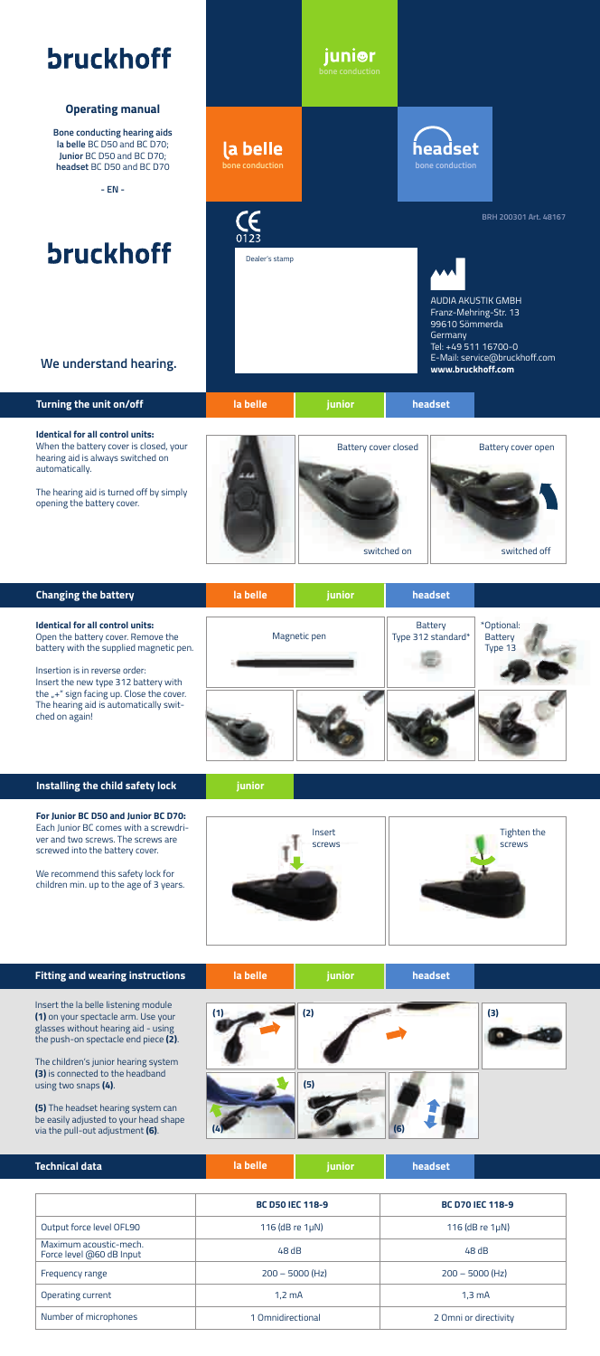# **bruckhoff**

#### **Operating manual**

**Bone conducting hearing aids la belle** BC D50 and BC D70; **Junior** BC D50 and BC D70; **headset** BC D50 and BC D70

**- EN -**

## **bruckhoff**



Dealer's stamp

la belle

 $\frac{7}{123}$ 

**bone conduction bone conduction**

junior

| <b>Changing the battery</b>                                                                                                                                                                                                                                                                                    | la belle     | junior | headset                       |                                  |
|----------------------------------------------------------------------------------------------------------------------------------------------------------------------------------------------------------------------------------------------------------------------------------------------------------------|--------------|--------|-------------------------------|----------------------------------|
| <b>Identical for all control units:</b><br>Open the battery cover. Remove the<br>battery with the supplied magnetic pen.<br>Insertion is in reverse order:<br>Insert the new type 312 battery with<br>the $u + u$ sign facing up. Close the cover.<br>The hearing aid is automatically swit-<br>ched on again! | Magnetic pen |        | Battery<br>Type 312 standard* | *Optional:<br>Battery<br>Type 13 |
|                                                                                                                                                                                                                                                                                                                |              |        |                               |                                  |

### **Installing the child safety lock**

**For Junior BC D50 and Junior BC D70:** Each Junior BC comes with a screwdriver and two screws. The screws are screwed into the battery cover. We recommend this safety lock for children min. up to the age of 3 years.

**junior**



AUDIA AKUSTIK GMBH<br>Franz Mobring Str. 12

**BRH 200301 Art. 48167**

Franz-Mehring-Str. 13 99610 Sömmerda

**headset**

| <b>Fitting and wearing instructions</b>                                                                                                                                                                                                | la belle | junior | headset |     |
|----------------------------------------------------------------------------------------------------------------------------------------------------------------------------------------------------------------------------------------|----------|--------|---------|-----|
| Insert the la belle listening module<br>(1) on your spectacle arm. Use your<br>glasses without hearing aid - using<br>the push-on spectacle end piece (2).<br>The children's junior hearing system<br>(3) is connected to the headband |          | (2)    |         | (3) |
| using two snaps (4).<br>(5) The headset hearing system can<br>be easily adjusted to your head shape<br>via the pull-out adjustment (6).                                                                                                |          | (5)    | (6)     |     |
| <b>Technical data</b>                                                                                                                                                                                                                  | la belle | junior | headset |     |

|                                                    | <b>BC D50 IEC 118-9</b> | <b>BC D70 IEC 118-9</b> |  |
|----------------------------------------------------|-------------------------|-------------------------|--|
| Output force level OFL90                           | 116 ( $dB$ re $1\mu$ N) | 116 ( $dB$ re $1\mu$ N) |  |
| Maximum acoustic-mech.<br>Force level @60 dB Input | 48 dB                   | 48dB                    |  |
| Frequency range                                    | $200 - 5000$ (Hz)       | $200 - 5000$ (Hz)       |  |
| Operating current                                  | $1.2 \text{ mA}$        | $1.3 \text{ mA}$        |  |
| Number of microphones                              | 1 Omnidirectional       | 2 Omni or directivity   |  |